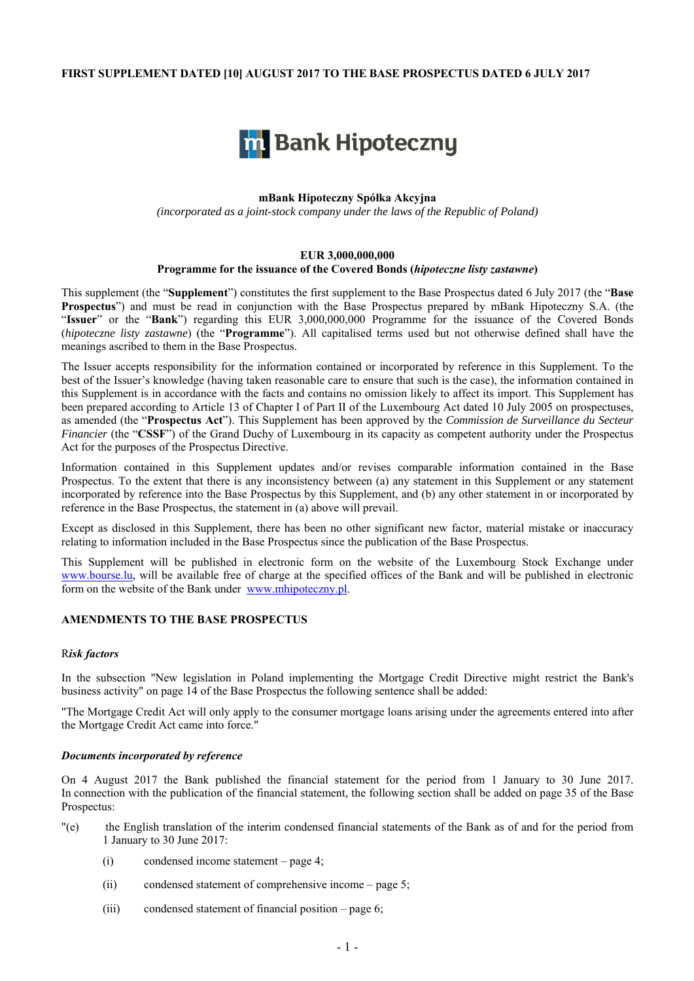## **FIRST SUPPLEMENT DATED [10] AUGUST 2017 TO THE BASE PROSPECTUS DATED 6 JULY 2017**



# **mBank Hipoteczny Spółka Akcyjna**

*(incorporated as a joint-stock company under the laws of the Republic of Poland)* 

# **EUR 3,000,000,000 Programme for the issuance of the Covered Bonds (***hipoteczne listy zastawne***)**

This supplement (the "**Supplement**") constitutes the first supplement to the Base Prospectus dated 6 July 2017 (the "**Base Prospectus**") and must be read in conjunction with the Base Prospectus prepared by mBank Hipoteczny S.A. (the "**Issuer**" or the "**Bank**") regarding this EUR 3,000,000,000 Programme for the issuance of the Covered Bonds (*hipoteczne listy zastawne*) (the "**Programme**"). All capitalised terms used but not otherwise defined shall have the meanings ascribed to them in the Base Prospectus.

The Issuer accepts responsibility for the information contained or incorporated by reference in this Supplement. To the best of the Issuer's knowledge (having taken reasonable care to ensure that such is the case), the information contained in this Supplement is in accordance with the facts and contains no omission likely to affect its import. This Supplement has been prepared according to Article 13 of Chapter I of Part II of the Luxembourg Act dated 10 July 2005 on prospectuses, as amended (the "**Prospectus Act**"). This Supplement has been approved by the *Commission de Surveillance du Secteur Financier* (the "CSSF") of the Grand Duchy of Luxembourg in its capacity as competent authority under the Prospectus Act for the purposes of the Prospectus Directive.

Information contained in this Supplement updates and/or revises comparable information contained in the Base Prospectus. To the extent that there is any inconsistency between (a) any statement in this Supplement or any statement incorporated by reference into the Base Prospectus by this Supplement, and (b) any other statement in or incorporated by reference in the Base Prospectus, the statement in (a) above will prevail.

Except as disclosed in this Supplement, there has been no other significant new factor, material mistake or inaccuracy relating to information included in the Base Prospectus since the publication of the Base Prospectus.

This Supplement will be published in electronic form on the website of the Luxembourg Stock Exchange under www.bourse.lu, will be available free of charge at the specified offices of the Bank and will be published in electronic form on the website of the Bank under www.mhipoteczny.pl.

# **AMENDMENTS TO THE BASE PROSPECTUS**

### R*isk factors*

In the subsection "New legislation in Poland implementing the Mortgage Credit Directive might restrict the Bank's business activity" on page 14 of the Base Prospectus the following sentence shall be added:

"The Mortgage Credit Act will only apply to the consumer mortgage loans arising under the agreements entered into after the Mortgage Credit Act came into force."

#### *Documents incorporated by reference*

On 4 August 2017 the Bank published the financial statement for the period from 1 January to 30 June 2017. In connection with the publication of the financial statement, the following section shall be added on page 35 of the Base Prospectus:

- "(e) the English translation of the interim condensed financial statements of the Bank as of and for the period from 1 January to 30 June 2017:
	- (i) condensed income statement page 4;
	- (ii) condensed statement of comprehensive income page 5;
	- (iii) condensed statement of financial position page 6;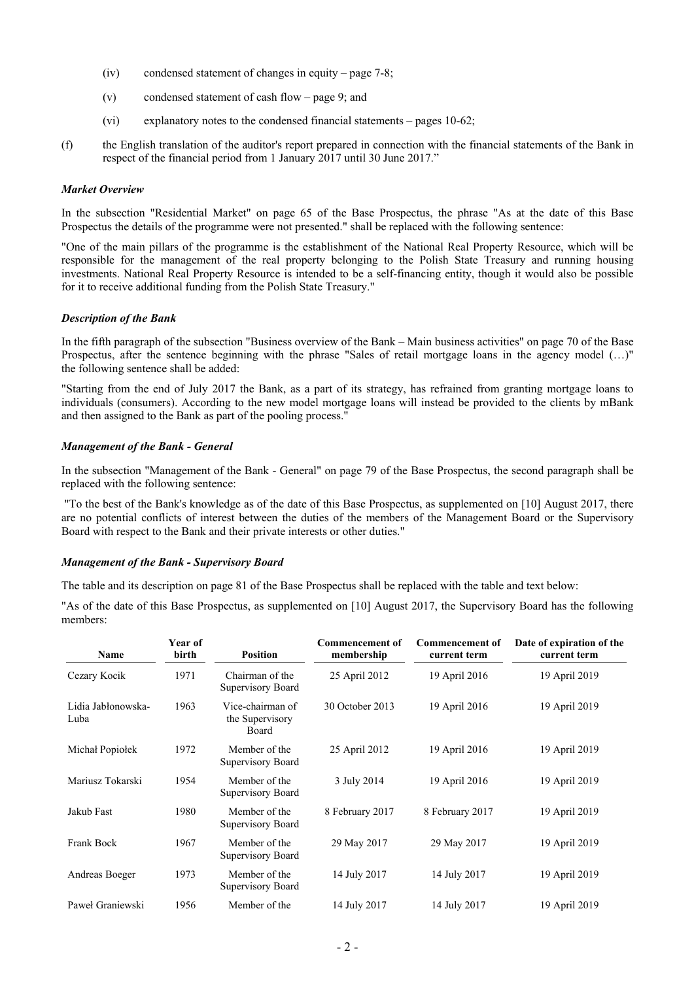- (iv) condensed statement of changes in equity page 7-8;
- (v) condensed statement of cash flow page 9; and
- (vi) explanatory notes to the condensed financial statements pages 10-62;
- (f) the English translation of the auditor's report prepared in connection with the financial statements of the Bank in respect of the financial period from 1 January 2017 until 30 June 2017."

## *Market Overview*

In the subsection "Residential Market" on page 65 of the Base Prospectus, the phrase "As at the date of this Base Prospectus the details of the programme were not presented." shall be replaced with the following sentence:

"One of the main pillars of the programme is the establishment of the National Real Property Resource, which will be responsible for the management of the real property belonging to the Polish State Treasury and running housing investments. National Real Property Resource is intended to be a self-financing entity, though it would also be possible for it to receive additional funding from the Polish State Treasury."

# *Description of the Bank*

In the fifth paragraph of the subsection "Business overview of the Bank – Main business activities" on page 70 of the Base Prospectus, after the sentence beginning with the phrase "Sales of retail mortgage loans in the agency model (…)" the following sentence shall be added:

"Starting from the end of July 2017 the Bank, as a part of its strategy, has refrained from granting mortgage loans to individuals (consumers). According to the new model mortgage loans will instead be provided to the clients by mBank and then assigned to the Bank as part of the pooling process."

# *Management of the Bank - General*

In the subsection "Management of the Bank - General" on page 79 of the Base Prospectus, the second paragraph shall be replaced with the following sentence:

 "To the best of the Bank's knowledge as of the date of this Base Prospectus, as supplemented on [10] August 2017, there are no potential conflicts of interest between the duties of the members of the Management Board or the Supervisory Board with respect to the Bank and their private interests or other duties."

### *Management of the Bank - Supervisory Board*

The table and its description on page 81 of the Base Prospectus shall be replaced with the table and text below:

"As of the date of this Base Prospectus, as supplemented on [10] August 2017, the Supervisory Board has the following members:

| Name                       | Year of<br>birth | <b>Position</b>                              | <b>Commencement of</b><br>membership | <b>Commencement of</b><br>current term | Date of expiration of the<br>current term |
|----------------------------|------------------|----------------------------------------------|--------------------------------------|----------------------------------------|-------------------------------------------|
| Cezary Kocik               | 1971             | Chairman of the<br>Supervisory Board         | 25 April 2012                        | 19 April 2016                          | 19 April 2019                             |
| Lidia Jabłonowska-<br>Luba | 1963             | Vice-chairman of<br>the Supervisory<br>Board | 30 October 2013                      | 19 April 2016                          | 19 April 2019                             |
| Michał Popiołek            | 1972             | Member of the<br>Supervisory Board           | 25 April 2012                        | 19 April 2016                          | 19 April 2019                             |
| Mariusz Tokarski           | 1954             | Member of the<br>Supervisory Board           | 3 July 2014                          | 19 April 2016                          | 19 April 2019                             |
| Jakub Fast                 | 1980             | Member of the<br>Supervisory Board           | 8 February 2017                      | 8 February 2017                        | 19 April 2019                             |
| Frank Bock                 | 1967             | Member of the<br>Supervisory Board           | 29 May 2017                          | 29 May 2017                            | 19 April 2019                             |
| Andreas Boeger             | 1973             | Member of the<br>Supervisory Board           | 14 July 2017                         | 14 July 2017                           | 19 April 2019                             |
| Paweł Graniewski           | 1956             | Member of the                                | 14 July 2017                         | 14 July 2017                           | 19 April 2019                             |